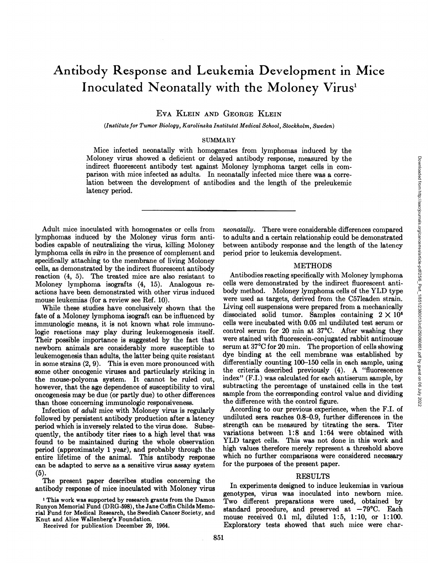# Antibody Response and Leukemia Development in Mice Inoculated Neonatally with the Moloney Virus'

**EVA KLEIN AND GEORGE KLEIN**

*(Institutefor Tumor Biology, Karolinska Institutet Medical School, Stockholm, Sweden)*

## SUMMARY

Mice infected neonatally with homogenates from lymphomas induced by the Moloney virus showed a deficient or delayed antibody response, measured by the indirect fluorescent antibody test against Moloney lymphoma target cells in com parison with mice infected as adults. In neonatally infected mice there was a correlation between the development of antibodies and the length of the preleukemic latency period.

Adult mice inoculated with homogenates or cells from lymphomas induced by the Moloney virus form anti bodies capable of neutralizing the virus, killing Moloney lymphoma cells in vitro in the presence of complement and specifically attaching to the membrane of living Moloney cells, as demonstrated by the indirect fluorescent antibody reaction (4, 5). The treated mice are also resistant to Moloney lymphoma isografts (4, 15). Analogous re actions have been demonstrated with other virus induced mouse leukemias (for a review see Ref. 10).

While these studies have conclusively shown that the fate of a Moloney lymphoma isograft can be influenced by immunologic means, it is not known what role immuno logic reactions may play during leukemogenesis itself. Their possible importance is suggested by the fact that newborn animals are considerably more susceptible to leukemogenesis than adults, the latter being quite resistant in some strains (2, 9). This is even more pronounced with some other oncogenic viruses and particularly striking in the mouse-polyoma system. It cannot be ruled out, however, that the age dependence of susceptibility to viral oncogenesis may be due (or partly due) to other differences than those concerning immunologic responsiveness.

Infection of adult mice with Moloney virus is regularly followed by persistent antibody production after a latency period which is inversely related to the virus dose. Subse quently, the antibody titer rises to a high level that was found to be maintained during the whole observation period (approximately 1 year), and probably through the entire lifetime of the animal. This antibody response can be adapted to serve as a sensitive virus assay system (5).

The present paper describes studies concerning the antibody response of mice inoculated with Moloney virus

**1 This work was supported by research grants from the Damon** Runyon Memorial Fund (DRG-598), the Jane Coffin Childs Memo rial Fund for Medical Research, the Swedish Cancer Society, and Knut and Alice Wallenberg's Foundation.

Received for publication December 29, 1964.

to adults and a certain relationship could be demonstrated between antibody response and the length of the latency period prior to leukemia development.

#### METHODS

**Moloney Insphonata target cells in com-**<br>Moloney lymphomat aterate cells in com-<br>
anomatally infected mice there was a corre-<br>
dies and the length of the preleukemic<br>
to adults and a certain relationship could be demonstr Antibodies reacting specifically with Moloney lymphoma cells were demonstrated by the indirect fluorescent anti body method. Moloney lymphoma cells of the YLD type were used as targets, derived from the C57leaden strain. Living cell suspensions were prepared from a mechanically dissociated solid tumor. Samples containing  $2 \times 10^6$ cells were incubated with 0.05 mlundiluted test serum or control serum for 20 min at  $37^{\circ}$ C. After washing they were stained with fluorescein-conjugated rabbit antimouse serum at  $37^{\circ}\text{C}$  for 20 min. The proportion of cells showing dye binding at the cell membrane was established by differentially counting 100–150 cells in each sample, using the criteria described previously (4). A "fluorescence index" (F.I.) was calculated for each antiserum sample, by subtracting the percentage of unstained cells in the test sample from the corresponding control value and dividing the difference with the control figure.

According to our previous experience, when the F.I. of undiluted sera reaches 0.8–0.9, further differences in the strength can be measured by titrating the sera. Titer variations between 1:8 and 1:64 were obtained with **YLD target cells. This was not done in this work and** high values therefore merely represent a threshold above which no further comparisons were considered necessary for the purposes of the present paper.

### RESULTS

In experiments designed to induce leukemias in various genotypes, virus was inoculated into newborn mice. Two different preparations were used, obtained by standard procedure, and preserved at —79°C. Each mouse received  $0.1$  ml, diluted  $1:5$ ,  $1:10$ , or  $1:100$ . Exploratory tests showed that such mice were char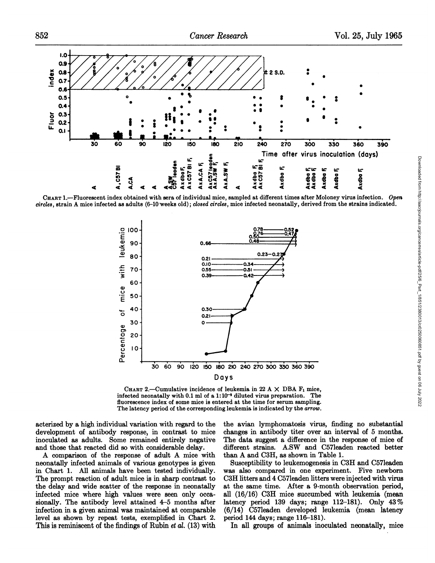

CHART 1.—Fluorescent index obtained with sera of individual mice, sampled at different times after Moloney virus infection. Open circles, strain A mice infected as adults (6-10 weeks old); closed circles, mice infected neonatally, derived from the strains indicated.



**CHART** 2.—Cumulative incidence of leukemia in 22 A  $\times$  DBA  $\mathbf{F}_1$  mice, **infected neonatally with 0.1 mlof a 1: 10@ diluted virus preparation. The fluorescence index of some mice is entered at the time for serum sampling.** The latency period of the corresponding leukemia is indicated by the *arrow*.

acterized by a high individual variation with regard to the development of antibody response, in contrast to mice inoculated as adults. Some remained entirely negative and those that reacted did so with considerable delay.

**A comparison of the response of adult A mice with** neonatally infected animals of various genotypes is given in Chart 1. All animals have been tested individually. The prompt reaction of adult mice is in sharp contrast to the delay and wide scatter of the response in neonatally infected mice where high values were seen only occa sionally. The antibody level attained 4–5 months after infection in a given animal was maintained at comparable level as shown by repeat tests, exemplified in Chart 2. This is reminiscent of the findings of Rubin *et al.*  $(13)$  with the avian lymphomatosis virus, finding no substantial changes in antibody titer over an interval of 5 months. The data suggest a difference in the response of mice of different strains. A.SW and C57leaden reacted better than A and C3H, as shown in Table 1.

Susceptibility to leukemogenesis in C3H and C57leaden was also compared in one experiment. Five newborn C3H littersand 4 C57leaden litters were injected with virus at the same time. After a 9-month observation period, all (16/16) C311 mice succumbed with leukemia (mean latency period 139 days; range 112–181). Only  $43\%$ (6/14) C57leaden developed leukemia (mean latency period 144 days; range 116—181).

In all groups of animals inoculated neonatally, mice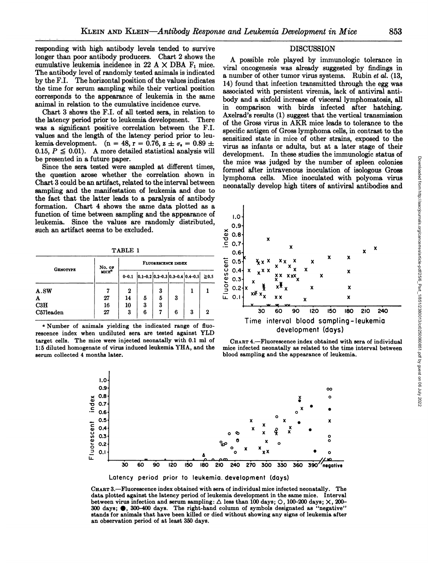responding with high antibody levels tended to survive longer than poor antibody producers. Chart 2 shows the cumulative leukemia incidence in 22 A  $\times$  DBA  $F_1$  mice. The antibody level of randomly tested animals is indicated **by the F.I. The horizontal position of the values indicates** the time for serum sampling while their vertical position corresponds to the appearance of leukemia in the same animal in relation to the cumulative incidence curve.

Chart 3 shows the F.I. of all tested sera, in relation to the latency period prior to leukemia development. There was a significant positive correlation between the F.I. values and the length of the latency period prior to leu kemia development. (n = 48, r = 0.76, z  $\pm \sigma_s = 0.89 \pm$ 0.15,  $P \leq 0.01$ . A more detailed statistical analysis will be presented in a future paper.

Since the sera tested were sampled at different times, the question arose whether the correlation shown in Chart 3 could be an artifact, related to the interval between sampling and the manifestation of leukemia and due to the fact that the latter leads to a paralysis of antibody formation. Chart 4 shows the same data plotted as a function of time between sampling and the appearance of leukemia. Since the values are randomly distributed, such an artifact seems to be excluded.

|  | <b>GENOTYPE</b> | No. or<br>MICE <sup>6</sup> | FLUORESCENCE INDEX |                                                                         |   |   |   |            | ine<br>$x \times x$<br>$0.5 +$<br>ပ                      | $x_{\chi}$<br>$\checkmark$<br>^<br>灬<br>x      |
|--|-----------------|-----------------------------|--------------------|-------------------------------------------------------------------------|---|---|---|------------|----------------------------------------------------------|------------------------------------------------|
|  |                 |                             | $0 - 0.1$          | $\left  0.1 - 0.2 \right  0.2 - 0.3 \left  0.3 - 0.4 \right  0.4 - 0.5$ |   |   |   | $\geq 0.5$ | 0.41<br>$\overline{X}$ X<br>ഗ<br>0.3<br>^                | X X<br>x<br>xxx                                |
|  | A.SW            |                             | 2                  |                                                                         | ົ |   |   |            | o<br>$0.2+x$<br>$\overline{\phantom{0}}$<br>$x \times x$ | xπ<br>$\overline{\phantom{a}}$<br>灬            |
|  | A               | 27                          | 14                 | Đ                                                                       | 5 | 3 |   |            | $0.1 -$<br>ш.                                            | ХX                                             |
|  | C3H             | 16                          | 10                 | 3                                                                       | ð |   |   |            |                                                          | <b>VV</b>                                      |
|  | C57leaden       | 27                          | 3                  | 6                                                                       |   | 6 | 3 | 2          | 30                                                       | 120<br>90<br>60<br>デザイン・シー きょうせい しょうしんしょうほうしゅん |

a Number of animals yielding the indicated range of fluo. rescence index when undiluted sera are tested against YLD target cells. The mice were injected neonatally with 0.1 ml of **1:5 diluted homogenate of virus induced leukemia ThA, and the** serum collected 4 months later.



DISCUSSION







Latency period prior to leukemia. development (days)

CHART 3.—Fluorescence index obtained with sera of individual mice infected neonatally. The data plotted against the latency period of leukemia development in the same mice. Interval between virus infection and serum sampling:  $\triangle$  less than 100 days;  $\bigcirc$ , 100-200 days;  $\times$ , 200-300 days;  $\bullet$ , 300-400 days. The right-hand column of symbols designated as "negative" stands for animals that have been killed or died without showing any signs of leukemia after an observation period of at least 350 days.